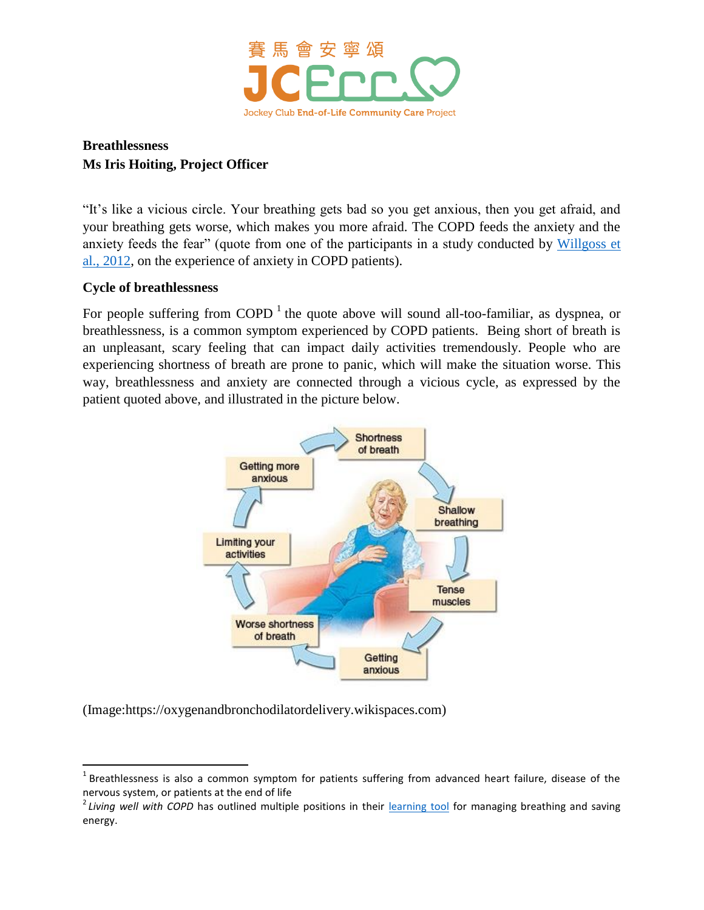

## **Breathlessness Ms Iris Hoiting, Project Officer**

"It's like a vicious circle. Your breathing gets bad so you get anxious, then you get afraid, and your breathing gets worse, which makes you more afraid. The COPD feeds the anxiety and the anxiety feeds the fear" (quote from one of the participants in a study conducted by [Willgoss et](http://www.ncbi.nlm.nih.gov/pubmed/22939112)  [al., 2012,](http://www.ncbi.nlm.nih.gov/pubmed/22939112) on the experience of anxiety in COPD patients).

## **Cycle of breathlessness**

 $\overline{a}$ 

For people suffering from COPD  $<sup>1</sup>$  the quote above will sound all-too-familiar, as dyspnea, or</sup> breathlessness, is a common symptom experienced by COPD patients. Being short of breath is an unpleasant, scary feeling that can impact daily activities tremendously. People who are experiencing shortness of breath are prone to panic, which will make the situation worse. This way, breathlessness and anxiety are connected through a vicious cycle, as expressed by the patient quoted above, and illustrated in the picture below.



(Image:https://oxygenandbronchodilatordelivery.wikispaces.com)

 $^1$  Breathlessness is also a common symptom for patients suffering from advanced heart failure, disease of the nervous system, or patients at the end of life

<sup>&</sup>lt;sup>2</sup> Living well with COPD has outlined multiple positions in their [learning tool](http://www.livingwellwithcopd.com/DATA/DOCUMENT/57_en~v~managing-your-breathing-and-saving-your-energy.pdf) for managing breathing and saving energy.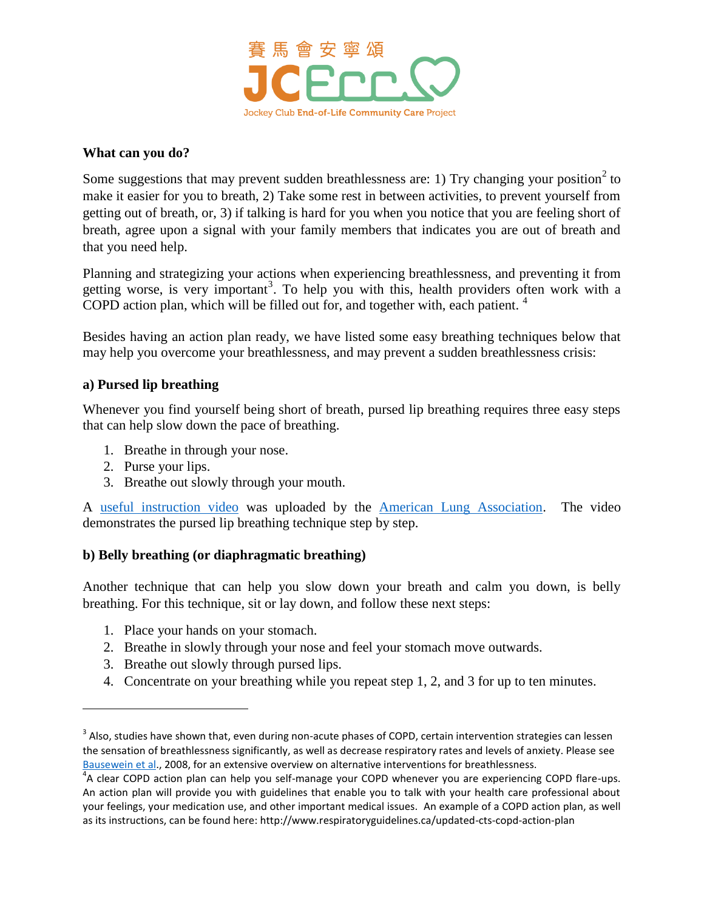

#### **What can you do?**

Some suggestions that may prevent sudden breathlessness are: 1) Try changing your position<sup>2</sup> to make it easier for you to breath, 2) Take some rest in between activities, to prevent yourself from getting out of breath, or, 3) if talking is hard for you when you notice that you are feeling short of breath, agree upon a signal with your family members that indicates you are out of breath and that you need help.

Planning and strategizing your actions when experiencing breathlessness, and preventing it from getting worse, is very important<sup>3</sup>. To help you with this, health providers often work with a COPD action plan, which will be filled out for, and together with, each patient.  $4\overline{ }$ 

Besides having an action plan ready, we have listed some easy breathing techniques below that may help you overcome your breathlessness, and may prevent a sudden breathlessness crisis:

## **a) Pursed lip breathing**

Whenever you find yourself being short of breath, pursed lip breathing requires three easy steps that can help slow down the pace of breathing.

- 1. Breathe in through your nose.
- 2. Purse your lips.

 $\overline{\phantom{a}}$ 

3. Breathe out slowly through your mouth.

A [useful instruction video](https://www.youtube.com/watch?v=7kpJ0QlRss4) was uploaded by the [American Lung Association.](http://www.lung.org/) The video demonstrates the pursed lip breathing technique step by step.

#### **b) Belly breathing (or diaphragmatic breathing)**

Another technique that can help you slow down your breath and calm you down, is belly breathing. For this technique, sit or lay down, and follow these next steps:

- 1. Place your hands on your stomach.
- 2. Breathe in slowly through your nose and feel your stomach move outwards.
- 3. Breathe out slowly through pursed lips.
- 4. Concentrate on your breathing while you repeat step 1, 2, and 3 for up to ten minutes.

 $3$  Also, studies have shown that, even during non-acute phases of COPD, certain intervention strategies can lessen the sensation of breathlessness significantly, as well as decrease respiratory rates and levels of anxiety. Please see [Bausewein et al.](http://www.ncbi.nlm.nih.gov/pubmed/18425927), 2008, for an extensive overview on alternative interventions for breathlessness.

<sup>&</sup>lt;sup>4</sup>A clear COPD action plan can help you self-manage your COPD whenever you are experiencing COPD flare-ups. An action plan will provide you with guidelines that enable you to talk with your health care professional about your feelings, your medication use, and other important medical issues. An example of a COPD action plan, as well as its instructions, can be found here: http://www.respiratoryguidelines.ca/updated-cts-copd-action-plan